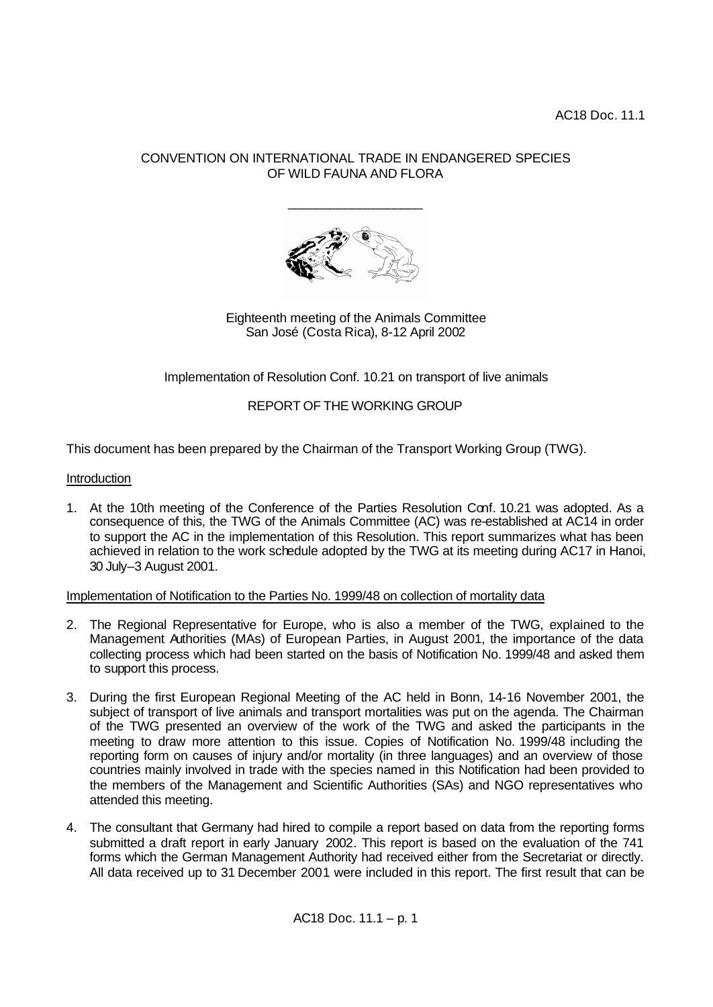# CONVENTION ON INTERNATIONAL TRADE IN ENDANGERED SPECIES OF WILD FAUNA AND FLORA

\_\_\_\_\_\_\_\_\_\_\_\_\_\_\_\_\_\_\_



Eighteenth meeting of the Animals Committee San José (Costa Rica), 8-12 April 2002

Implementation of Resolution Conf. 10.21 on transport of live animals

REPORT OF THE WORKING GROUP

This document has been prepared by the Chairman of the Transport Working Group (TWG).

#### Introduction

1. At the 10th meeting of the Conference of the Parties Resolution Conf. 10.21 was adopted. As a consequence of this, the TWG of the Animals Committee (AC) was re-established at AC14 in order to support the AC in the implementation of this Resolution. This report summarizes what has been achieved in relation to the work schedule adopted by the TWG at its meeting during AC17 in Hanoi, 30 July–3 August 2001.

#### Implementation of Notification to the Parties No. 1999/48 on collection of mortality data

- 2. The Regional Representative for Europe, who is also a member of the TWG, explained to the Management Authorities (MAs) of European Parties, in August 2001, the importance of the data collecting process which had been started on the basis of Notification No. 1999/48 and asked them to support this process.
- 3. During the first European Regional Meeting of the AC held in Bonn, 14-16 November 2001, the subject of transport of live animals and transport mortalities was put on the agenda. The Chairman of the TWG presented an overview of the work of the TWG and asked the participants in the meeting to draw more attention to this issue. Copies of Notification No. 1999/48 including the reporting form on causes of injury and/or mortality (in three languages) and an overview of those countries mainly involved in trade with the species named in this Notification had been provided to the members of the Management and Scientific Authorities (SAs) and NGO representatives who attended this meeting.
- 4. The consultant that Germany had hired to compile a report based on data from the reporting forms submitted a draft report in early January 2002. This report is based on the evaluation of the 741 forms which the German Management Authority had received either from the Secretariat or directly. All data received up to 31 December 2001 were included in this report. The first result that can be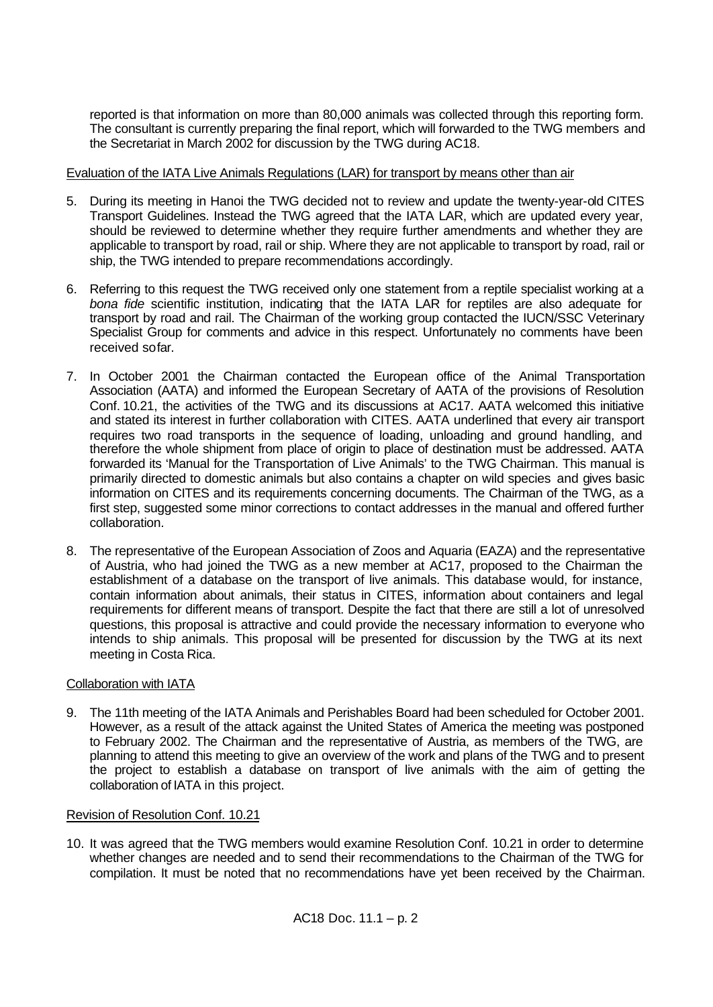reported is that information on more than 80,000 animals was collected through this reporting form. The consultant is currently preparing the final report, which will forwarded to the TWG members and the Secretariat in March 2002 for discussion by the TWG during AC18.

## Evaluation of the IATA Live Animals Regulations (LAR) for transport by means other than air

- 5. During its meeting in Hanoi the TWG decided not to review and update the twenty-year-old CITES Transport Guidelines. Instead the TWG agreed that the IATA LAR, which are updated every year, should be reviewed to determine whether they require further amendments and whether they are applicable to transport by road, rail or ship. Where they are not applicable to transport by road, rail or ship, the TWG intended to prepare recommendations accordingly.
- 6. Referring to this request the TWG received only one statement from a reptile specialist working at a *bona fide* scientific institution, indicating that the IATA LAR for reptiles are also adequate for transport by road and rail. The Chairman of the working group contacted the IUCN/SSC Veterinary Specialist Group for comments and advice in this respect. Unfortunately no comments have been received sofar.
- 7. In October 2001 the Chairman contacted the European office of the Animal Transportation Association (AATA) and informed the European Secretary of AATA of the provisions of Resolution Conf. 10.21, the activities of the TWG and its discussions at AC17. AATA welcomed this initiative and stated its interest in further collaboration with CITES. AATA underlined that every air transport requires two road transports in the sequence of loading, unloading and ground handling, and therefore the whole shipment from place of origin to place of destination must be addressed. AATA forwarded its 'Manual for the Transportation of Live Animals' to the TWG Chairman. This manual is primarily directed to domestic animals but also contains a chapter on wild species and gives basic information on CITES and its requirements concerning documents. The Chairman of the TWG, as a first step, suggested some minor corrections to contact addresses in the manual and offered further collaboration.
- 8. The representative of the European Association of Zoos and Aquaria (EAZA) and the representative of Austria, who had joined the TWG as a new member at AC17, proposed to the Chairman the establishment of a database on the transport of live animals. This database would, for instance, contain information about animals, their status in CITES, information about containers and legal requirements for different means of transport. Despite the fact that there are still a lot of unresolved questions, this proposal is attractive and could provide the necessary information to everyone who intends to ship animals. This proposal will be presented for discussion by the TWG at its next meeting in Costa Rica.

## Collaboration with IATA

9. The 11th meeting of the IATA Animals and Perishables Board had been scheduled for October 2001. However, as a result of the attack against the United States of America the meeting was postponed to February 2002. The Chairman and the representative of Austria, as members of the TWG, are planning to attend this meeting to give an overview of the work and plans of the TWG and to present the project to establish a database on transport of live animals with the aim of getting the collaboration of IATA in this project.

## Revision of Resolution Conf. 10.21

10. It was agreed that the TWG members would examine Resolution Conf. 10.21 in order to determine whether changes are needed and to send their recommendations to the Chairman of the TWG for compilation. It must be noted that no recommendations have yet been received by the Chairman.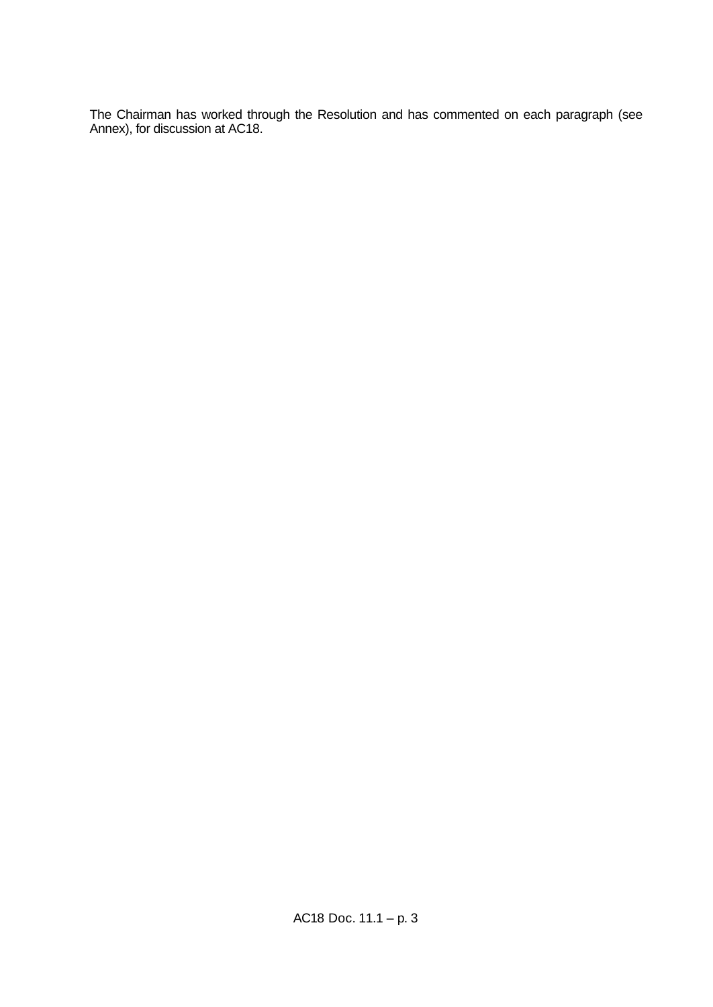The Chairman has worked through the Resolution and has commented on each paragraph (see Annex), for discussion at AC18.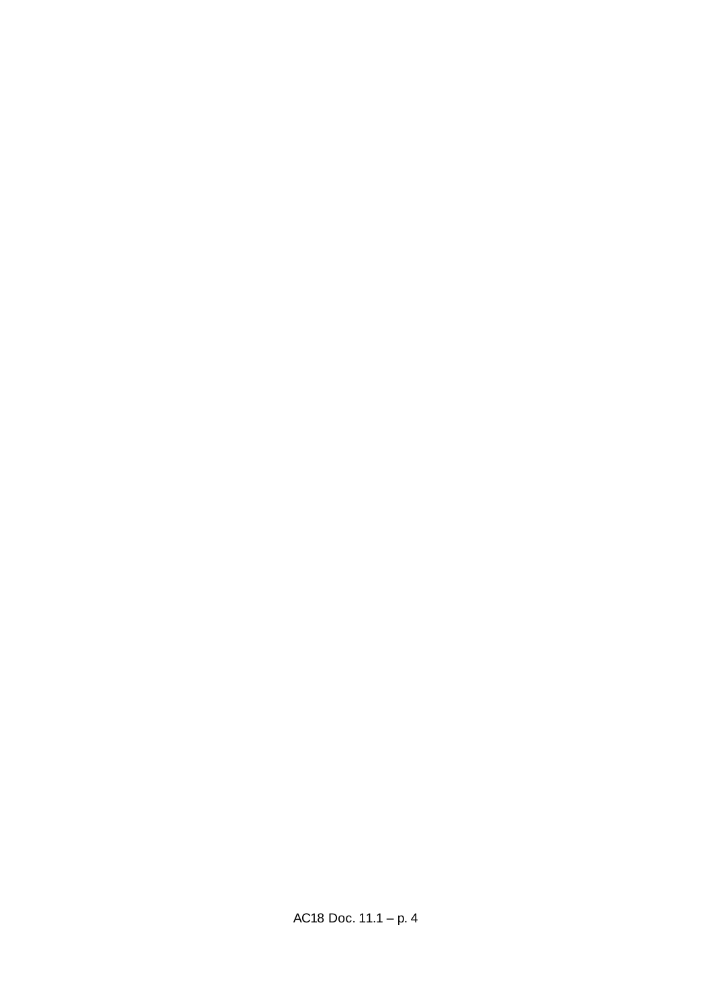AC18 Doc. 11.1 – p. 4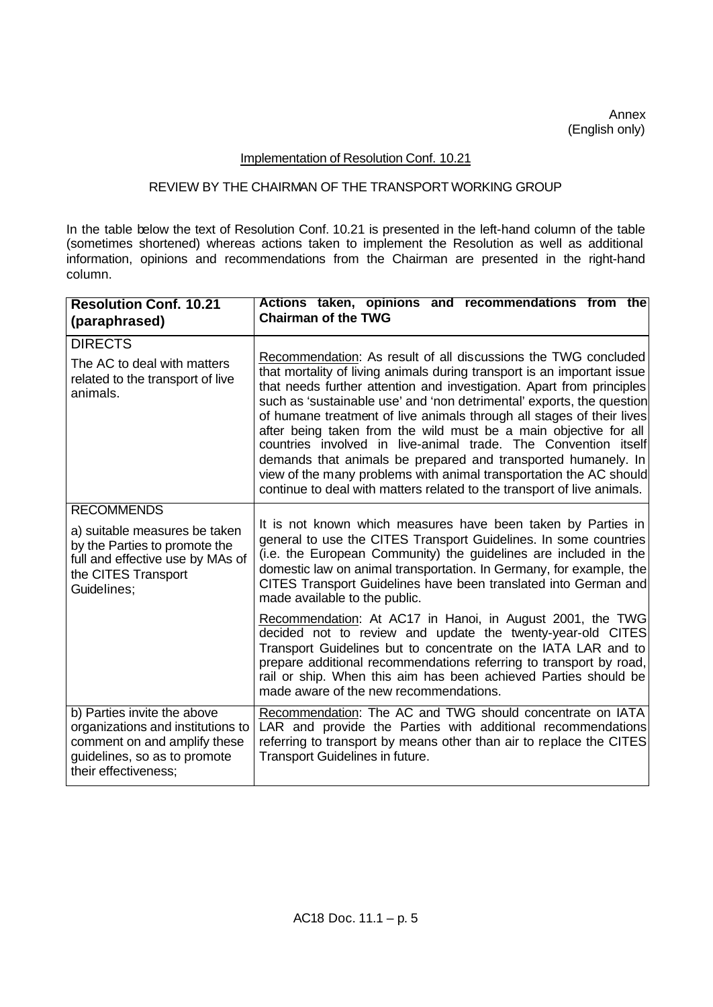#### Implementation of Resolution Conf. 10.21

#### REVIEW BY THE CHAIRMAN OF THE TRANSPORT WORKING GROUP

In the table below the text of Resolution Conf. 10.21 is presented in the left-hand column of the table (sometimes shortened) whereas actions taken to implement the Resolution as well as additional information, opinions and recommendations from the Chairman are presented in the right-hand column.

| <b>Resolution Conf. 10.21</b><br>(paraphrased)                                                                                                                | Actions taken, opinions and recommendations from the<br><b>Chairman of the TWG</b>                                                                                                                                                                                                                                                                                                                                                                                                                                                                                                                                                                                                                                           |
|---------------------------------------------------------------------------------------------------------------------------------------------------------------|------------------------------------------------------------------------------------------------------------------------------------------------------------------------------------------------------------------------------------------------------------------------------------------------------------------------------------------------------------------------------------------------------------------------------------------------------------------------------------------------------------------------------------------------------------------------------------------------------------------------------------------------------------------------------------------------------------------------------|
| <b>DIRECTS</b><br>The AC to deal with matters<br>related to the transport of live<br>animals.                                                                 | Recommendation: As result of all discussions the TWG concluded<br>that mortality of living animals during transport is an important issue<br>that needs further attention and investigation. Apart from principles<br>such as 'sustainable use' and 'non detrimental' exports, the question<br>of humane treatment of live animals through all stages of their lives<br>after being taken from the wild must be a main objective for all<br>countries involved in live-animal trade. The Convention itself<br>demands that animals be prepared and transported humanely. In<br>view of the many problems with animal transportation the AC should<br>continue to deal with matters related to the transport of live animals. |
| <b>RECOMMENDS</b><br>a) suitable measures be taken<br>by the Parties to promote the<br>full and effective use by MAs of<br>the CITES Transport<br>Guidelines; | It is not known which measures have been taken by Parties in<br>general to use the CITES Transport Guidelines. In some countries<br>(i.e. the European Community) the guidelines are included in the<br>domestic law on animal transportation. In Germany, for example, the<br>CITES Transport Guidelines have been translated into German and<br>made available to the public.                                                                                                                                                                                                                                                                                                                                              |
|                                                                                                                                                               | Recommendation: At AC17 in Hanoi, in August 2001, the TWG<br>decided not to review and update the twenty-year-old CITES<br>Transport Guidelines but to concentrate on the IATA LAR and to<br>prepare additional recommendations referring to transport by road,<br>rail or ship. When this aim has been achieved Parties should be<br>made aware of the new recommendations.                                                                                                                                                                                                                                                                                                                                                 |
| b) Parties invite the above<br>organizations and institutions to<br>comment on and amplify these<br>guidelines, so as to promote<br>their effectiveness;      | Recommendation: The AC and TWG should concentrate on IATA<br>LAR and provide the Parties with additional recommendations<br>referring to transport by means other than air to replace the CITES<br><b>Transport Guidelines in future.</b>                                                                                                                                                                                                                                                                                                                                                                                                                                                                                    |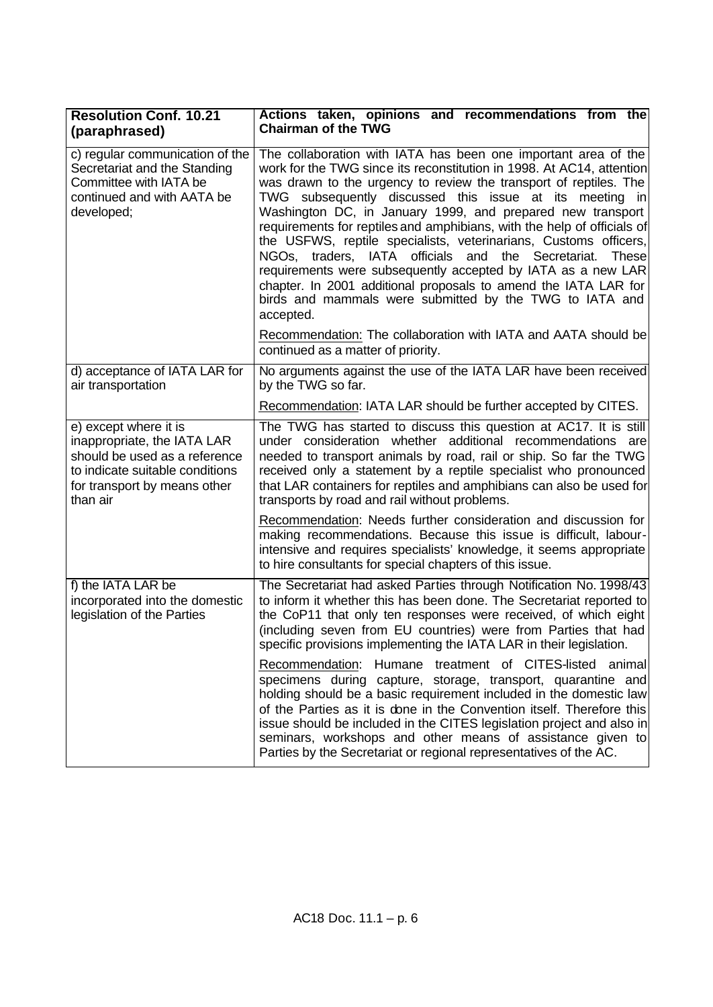| <b>Resolution Conf. 10.21</b><br>(paraphrased)                                                                                                                       | Actions taken, opinions and recommendations from the<br><b>Chairman of the TWG</b>                                                                                                                                                                                                                                                                                                                                                                                                                                                                                                                                                                                                                                                                                                                                                           |
|----------------------------------------------------------------------------------------------------------------------------------------------------------------------|----------------------------------------------------------------------------------------------------------------------------------------------------------------------------------------------------------------------------------------------------------------------------------------------------------------------------------------------------------------------------------------------------------------------------------------------------------------------------------------------------------------------------------------------------------------------------------------------------------------------------------------------------------------------------------------------------------------------------------------------------------------------------------------------------------------------------------------------|
| c) regular communication of the<br>Secretariat and the Standing<br>Committee with IATA be<br>continued and with AATA be<br>developed;                                | The collaboration with IATA has been one important area of the<br>work for the TWG since its reconstitution in 1998. At AC14, attention<br>was drawn to the urgency to review the transport of reptiles. The<br>TWG subsequently discussed this issue at its meeting in<br>Washington DC, in January 1999, and prepared new transport<br>requirements for reptiles and amphibians, with the help of officials of<br>the USFWS, reptile specialists, veterinarians, Customs officers,<br>NGOs, traders, IATA officials and the Secretariat.<br><b>These</b><br>requirements were subsequently accepted by IATA as a new LAR<br>chapter. In 2001 additional proposals to amend the IATA LAR for<br>birds and mammals were submitted by the TWG to IATA and<br>accepted.<br>Recommendation: The collaboration with IATA and AATA should be      |
|                                                                                                                                                                      | continued as a matter of priority.                                                                                                                                                                                                                                                                                                                                                                                                                                                                                                                                                                                                                                                                                                                                                                                                           |
| d) acceptance of IATA LAR for<br>air transportation                                                                                                                  | No arguments against the use of the IATA LAR have been received<br>by the TWG so far.                                                                                                                                                                                                                                                                                                                                                                                                                                                                                                                                                                                                                                                                                                                                                        |
|                                                                                                                                                                      | Recommendation: IATA LAR should be further accepted by CITES.                                                                                                                                                                                                                                                                                                                                                                                                                                                                                                                                                                                                                                                                                                                                                                                |
| e) except where it is<br>inappropriate, the IATA LAR<br>should be used as a reference<br>to indicate suitable conditions<br>for transport by means other<br>than air | The TWG has started to discuss this question at AC17. It is still<br>under consideration whether additional recommendations are<br>needed to transport animals by road, rail or ship. So far the TWG<br>received only a statement by a reptile specialist who pronounced<br>that LAR containers for reptiles and amphibians can also be used for<br>transports by road and rail without problems.                                                                                                                                                                                                                                                                                                                                                                                                                                            |
|                                                                                                                                                                      | Recommendation: Needs further consideration and discussion for<br>making recommendations. Because this issue is difficult, labour-<br>intensive and requires specialists' knowledge, it seems appropriate<br>to hire consultants for special chapters of this issue.                                                                                                                                                                                                                                                                                                                                                                                                                                                                                                                                                                         |
| f) the IATA LAR be<br>incorporated into the domestic<br>legislation of the Parties                                                                                   | The Secretariat had asked Parties through Notification No. 1998/43<br>to inform it whether this has been done. The Secretariat reported to<br>the CoP11 that only ten responses were received, of which eight<br>(including seven from EU countries) were from Parties that had<br>specific provisions implementing the IATA LAR in their legislation.<br>Recommendation: Humane treatment of CITES-listed animal<br>specimens during capture, storage, transport, quarantine and<br>holding should be a basic requirement included in the domestic law<br>of the Parties as it is done in the Convention itself. Therefore this<br>issue should be included in the CITES legislation project and also in<br>seminars, workshops and other means of assistance given to<br>Parties by the Secretariat or regional representatives of the AC. |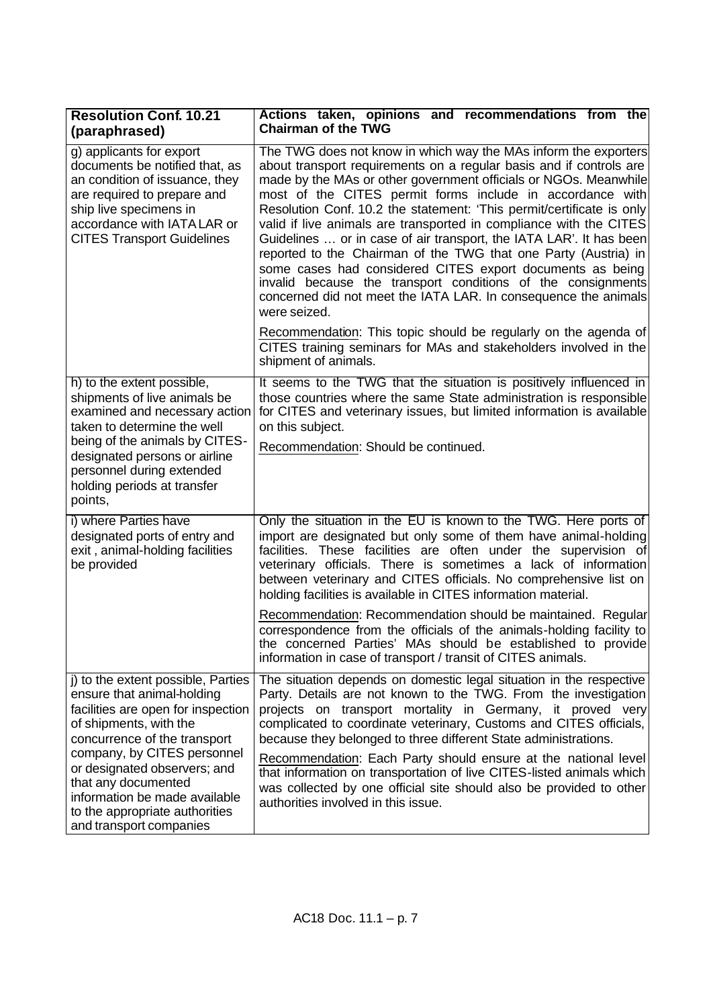| <b>Resolution Conf. 10.21</b><br>(paraphrased)                                                                                                                                                                                                                                                                                                       | Actions taken, opinions and recommendations from the<br><b>Chairman of the TWG</b>                                                                                                                                                                                                                                                                                                                                                                                                                                                                                                                                                                                                                                                                                                                                                                                                                                                              |
|------------------------------------------------------------------------------------------------------------------------------------------------------------------------------------------------------------------------------------------------------------------------------------------------------------------------------------------------------|-------------------------------------------------------------------------------------------------------------------------------------------------------------------------------------------------------------------------------------------------------------------------------------------------------------------------------------------------------------------------------------------------------------------------------------------------------------------------------------------------------------------------------------------------------------------------------------------------------------------------------------------------------------------------------------------------------------------------------------------------------------------------------------------------------------------------------------------------------------------------------------------------------------------------------------------------|
| g) applicants for export<br>documents be notified that, as<br>an condition of issuance, they<br>are required to prepare and<br>ship live specimens in<br>accordance with IATA LAR or<br><b>CITES Transport Guidelines</b>                                                                                                                            | The TWG does not know in which way the MAs inform the exporters<br>about transport requirements on a regular basis and if controls are<br>made by the MAs or other government officials or NGOs. Meanwhile<br>most of the CITES permit forms include in accordance with<br>Resolution Conf. 10.2 the statement: 'This permit/certificate is only<br>valid if live animals are transported in compliance with the CITES<br>Guidelines  or in case of air transport, the IATA LAR'. It has been<br>reported to the Chairman of the TWG that one Party (Austria) in<br>some cases had considered CITES export documents as being<br>invalid because the transport conditions of the consignments<br>concerned did not meet the IATA LAR. In consequence the animals<br>were seized.<br>Recommendation: This topic should be regularly on the agenda of<br>CITES training seminars for MAs and stakeholders involved in the<br>shipment of animals. |
| h) to the extent possible,<br>shipments of live animals be<br>examined and necessary action<br>taken to determine the well<br>being of the animals by CITES-<br>designated persons or airline<br>personnel during extended<br>holding periods at transfer<br>points,                                                                                 | It seems to the TWG that the situation is positively influenced in<br>those countries where the same State administration is responsible<br>for CITES and veterinary issues, but limited information is available<br>on this subject.<br>Recommendation: Should be continued.                                                                                                                                                                                                                                                                                                                                                                                                                                                                                                                                                                                                                                                                   |
| i) where Parties have<br>designated ports of entry and<br>exit, animal-holding facilities<br>be provided                                                                                                                                                                                                                                             | Only the situation in the EU is known to the TWG. Here ports of<br>import are designated but only some of them have animal-holding<br>facilities. These facilities are often under the supervision of<br>veterinary officials. There is sometimes a lack of information<br>between veterinary and CITES officials. No comprehensive list on<br>holding facilities is available in CITES information material.<br>Recommendation: Recommendation should be maintained. Regular<br>correspondence from the officials of the animals-holding facility to<br>the concerned Parties' MAs should be established to provide<br>information in case of transport / transit of CITES animals.                                                                                                                                                                                                                                                            |
| j) to the extent possible, Parties<br>ensure that animal-holding<br>facilities are open for inspection<br>of shipments, with the<br>concurrence of the transport<br>company, by CITES personnel<br>or designated observers; and<br>that any documented<br>information be made available<br>to the appropriate authorities<br>and transport companies | The situation depends on domestic legal situation in the respective<br>Party. Details are not known to the TWG. From the investigation<br>projects on transport mortality in Germany, it proved very<br>complicated to coordinate veterinary, Customs and CITES officials,<br>because they belonged to three different State administrations.<br>Recommendation: Each Party should ensure at the national level<br>that information on transportation of live CITES-listed animals which<br>was collected by one official site should also be provided to other<br>authorities involved in this issue.                                                                                                                                                                                                                                                                                                                                          |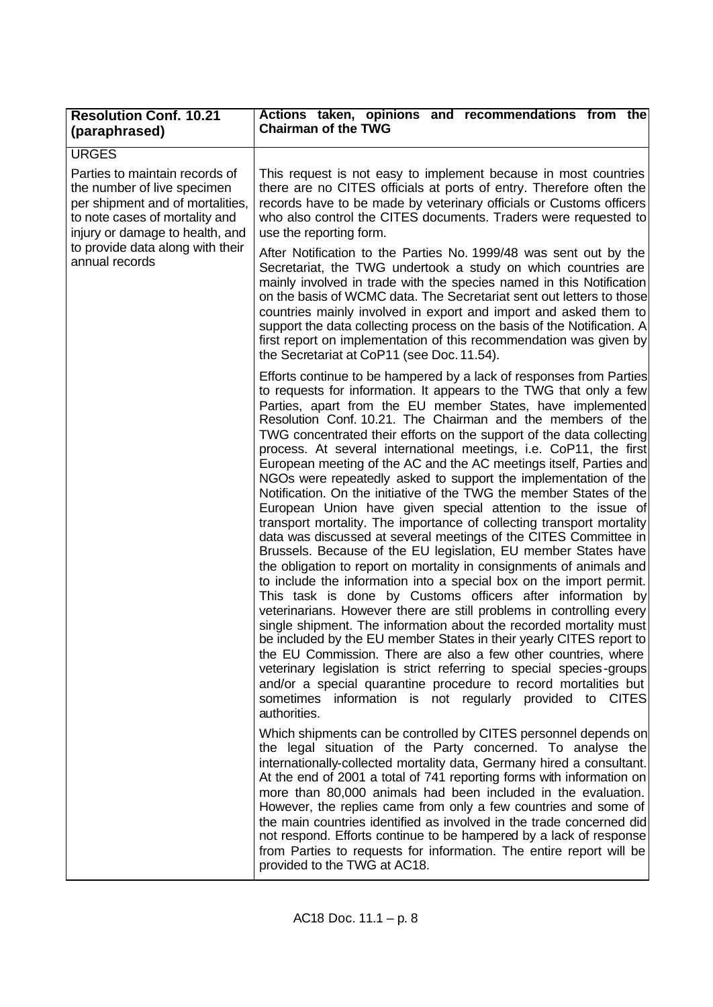| <b>Resolution Conf. 10.21</b><br>(paraphrased)                                                                                                                                                                               | Actions taken, opinions and recommendations from the<br><b>Chairman of the TWG</b>                                                                                                                                                                                                                                                                                                                                                                                                                                                                                                                                                                                                                                                                                                                                                                                                                                                                                                                                                                                                                                                                                                                                                                                                                                                                                                                                                                                                                                                                                                                                                                                                                                                                                            |
|------------------------------------------------------------------------------------------------------------------------------------------------------------------------------------------------------------------------------|-------------------------------------------------------------------------------------------------------------------------------------------------------------------------------------------------------------------------------------------------------------------------------------------------------------------------------------------------------------------------------------------------------------------------------------------------------------------------------------------------------------------------------------------------------------------------------------------------------------------------------------------------------------------------------------------------------------------------------------------------------------------------------------------------------------------------------------------------------------------------------------------------------------------------------------------------------------------------------------------------------------------------------------------------------------------------------------------------------------------------------------------------------------------------------------------------------------------------------------------------------------------------------------------------------------------------------------------------------------------------------------------------------------------------------------------------------------------------------------------------------------------------------------------------------------------------------------------------------------------------------------------------------------------------------------------------------------------------------------------------------------------------------|
| <b>URGES</b>                                                                                                                                                                                                                 |                                                                                                                                                                                                                                                                                                                                                                                                                                                                                                                                                                                                                                                                                                                                                                                                                                                                                                                                                                                                                                                                                                                                                                                                                                                                                                                                                                                                                                                                                                                                                                                                                                                                                                                                                                               |
| Parties to maintain records of<br>the number of live specimen<br>per shipment and of mortalities,<br>to note cases of mortality and<br>injury or damage to health, and<br>to provide data along with their<br>annual records | This request is not easy to implement because in most countries<br>there are no CITES officials at ports of entry. Therefore often the<br>records have to be made by veterinary officials or Customs officers<br>who also control the CITES documents. Traders were requested to<br>use the reporting form.                                                                                                                                                                                                                                                                                                                                                                                                                                                                                                                                                                                                                                                                                                                                                                                                                                                                                                                                                                                                                                                                                                                                                                                                                                                                                                                                                                                                                                                                   |
|                                                                                                                                                                                                                              | After Notification to the Parties No. 1999/48 was sent out by the<br>Secretariat, the TWG undertook a study on which countries are<br>mainly involved in trade with the species named in this Notification<br>on the basis of WCMC data. The Secretariat sent out letters to those<br>countries mainly involved in export and import and asked them to<br>support the data collecting process on the basis of the Notification. A<br>first report on implementation of this recommendation was given by<br>the Secretariat at CoP11 (see Doc. 11.54).                                                                                                                                                                                                                                                                                                                                                                                                                                                                                                                                                                                                                                                                                                                                                                                                                                                                                                                                                                                                                                                                                                                                                                                                                         |
|                                                                                                                                                                                                                              | Efforts continue to be hampered by a lack of responses from Parties<br>to requests for information. It appears to the TWG that only a few<br>Parties, apart from the EU member States, have implemented<br>Resolution Conf. 10.21. The Chairman and the members of the<br>TWG concentrated their efforts on the support of the data collecting<br>process. At several international meetings, i.e. CoP11, the first<br>European meeting of the AC and the AC meetings itself, Parties and<br>NGOs were repeatedly asked to support the implementation of the<br>Notification. On the initiative of the TWG the member States of the<br>European Union have given special attention to the issue of<br>transport mortality. The importance of collecting transport mortality<br>data was discussed at several meetings of the CITES Committee in<br>Brussels. Because of the EU legislation, EU member States have<br>the obligation to report on mortality in consignments of animals and<br>to include the information into a special box on the import permit.<br>This task is done by Customs officers after information by<br>veterinarians. However there are still problems in controlling every<br>single shipment. The information about the recorded mortality must<br>be included by the EU member States in their yearly CITES report to<br>the EU Commission. There are also a few other countries, where<br>veterinary legislation is strict referring to special species-groups<br>and/or a special quarantine procedure to record mortalities but<br>sometimes information is not regularly provided to CITES<br>authorities.<br>Which shipments can be controlled by CITES personnel depends on<br>the legal situation of the Party concerned. To analyse the |
|                                                                                                                                                                                                                              | internationally-collected mortality data, Germany hired a consultant.<br>At the end of 2001 a total of 741 reporting forms with information on<br>more than 80,000 animals had been included in the evaluation.<br>However, the replies came from only a few countries and some of<br>the main countries identified as involved in the trade concerned did<br>not respond. Efforts continue to be hampered by a lack of response<br>from Parties to requests for information. The entire report will be<br>provided to the TWG at AC18.                                                                                                                                                                                                                                                                                                                                                                                                                                                                                                                                                                                                                                                                                                                                                                                                                                                                                                                                                                                                                                                                                                                                                                                                                                       |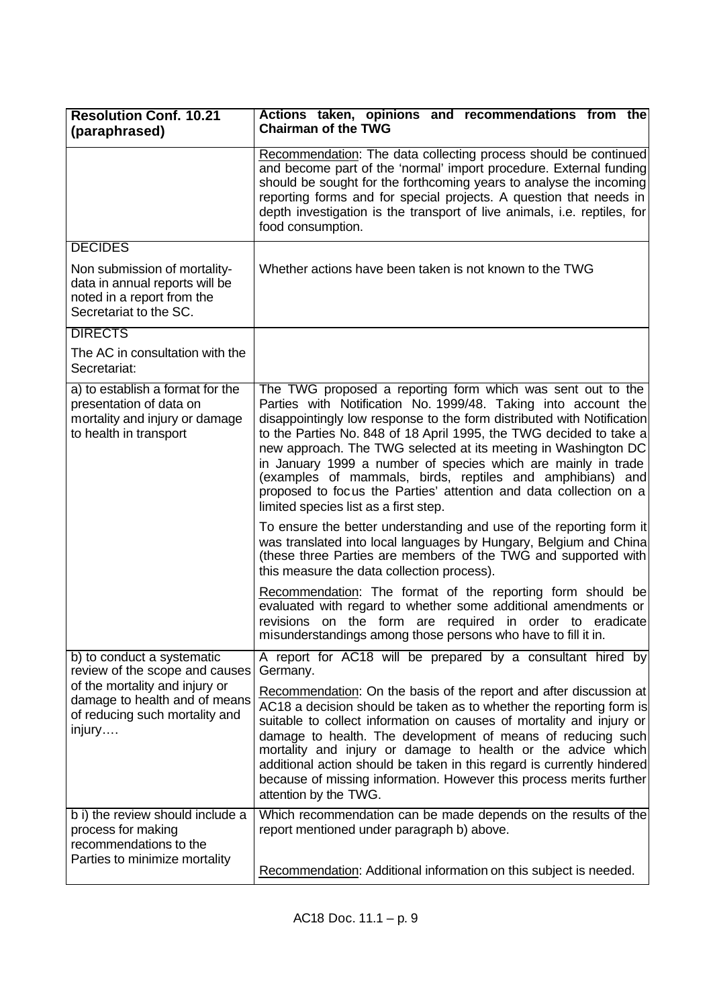| <b>Resolution Conf. 10.21</b><br>(paraphrased)                                                                                                                              | Actions taken, opinions and recommendations from the<br><b>Chairman of the TWG</b>                                                                                                                                                                                                                                                                                                                                                                                                                                                                                                          |
|-----------------------------------------------------------------------------------------------------------------------------------------------------------------------------|---------------------------------------------------------------------------------------------------------------------------------------------------------------------------------------------------------------------------------------------------------------------------------------------------------------------------------------------------------------------------------------------------------------------------------------------------------------------------------------------------------------------------------------------------------------------------------------------|
|                                                                                                                                                                             | Recommendation: The data collecting process should be continued<br>and become part of the 'normal' import procedure. External funding<br>should be sought for the forthcoming years to analyse the incoming<br>reporting forms and for special projects. A question that needs in<br>depth investigation is the transport of live animals, i.e. reptiles, for<br>food consumption.                                                                                                                                                                                                          |
| <b>DECIDES</b>                                                                                                                                                              |                                                                                                                                                                                                                                                                                                                                                                                                                                                                                                                                                                                             |
| Non submission of mortality-<br>data in annual reports will be<br>noted in a report from the<br>Secretariat to the SC.                                                      | Whether actions have been taken is not known to the TWG                                                                                                                                                                                                                                                                                                                                                                                                                                                                                                                                     |
| <b>DIRECTS</b>                                                                                                                                                              |                                                                                                                                                                                                                                                                                                                                                                                                                                                                                                                                                                                             |
| The AC in consultation with the<br>Secretariat:                                                                                                                             |                                                                                                                                                                                                                                                                                                                                                                                                                                                                                                                                                                                             |
| a) to establish a format for the<br>presentation of data on<br>mortality and injury or damage<br>to health in transport                                                     | The TWG proposed a reporting form which was sent out to the<br>Parties with Notification No. 1999/48. Taking into account the<br>disappointingly low response to the form distributed with Notification<br>to the Parties No. 848 of 18 April 1995, the TWG decided to take a<br>new approach. The TWG selected at its meeting in Washington DC<br>in January 1999 a number of species which are mainly in trade<br>(examples of mammals, birds, reptiles and amphibians) and<br>proposed to focus the Parties' attention and data collection on a<br>limited species list as a first step. |
|                                                                                                                                                                             | To ensure the better understanding and use of the reporting form it<br>was translated into local languages by Hungary, Belgium and China<br>(these three Parties are members of the TWG and supported with<br>this measure the data collection process).                                                                                                                                                                                                                                                                                                                                    |
|                                                                                                                                                                             | Recommendation: The format of the reporting form should be<br>evaluated with regard to whether some additional amendments or<br>on the form are required in order to eradicate<br>revisions<br>misunderstandings among those persons who have to fill it in.                                                                                                                                                                                                                                                                                                                                |
| b) to conduct a systematic<br>review of the scope and causes<br>of the mortality and injury or<br>damage to health and of means<br>of reducing such mortality and<br>injury | A report for AC18 will be prepared by a consultant hired by<br>Germany.                                                                                                                                                                                                                                                                                                                                                                                                                                                                                                                     |
|                                                                                                                                                                             | Recommendation: On the basis of the report and after discussion at<br>AC18 a decision should be taken as to whether the reporting form is<br>suitable to collect information on causes of mortality and injury or<br>damage to health. The development of means of reducing such<br>mortality and injury or damage to health or the advice which<br>additional action should be taken in this regard is currently hindered<br>because of missing information. However this process merits further<br>attention by the TWG.                                                                  |
| b i) the review should include a<br>process for making<br>recommendations to the<br>Parties to minimize mortality                                                           | Which recommendation can be made depends on the results of the<br>report mentioned under paragraph b) above.                                                                                                                                                                                                                                                                                                                                                                                                                                                                                |
|                                                                                                                                                                             | Recommendation: Additional information on this subject is needed.                                                                                                                                                                                                                                                                                                                                                                                                                                                                                                                           |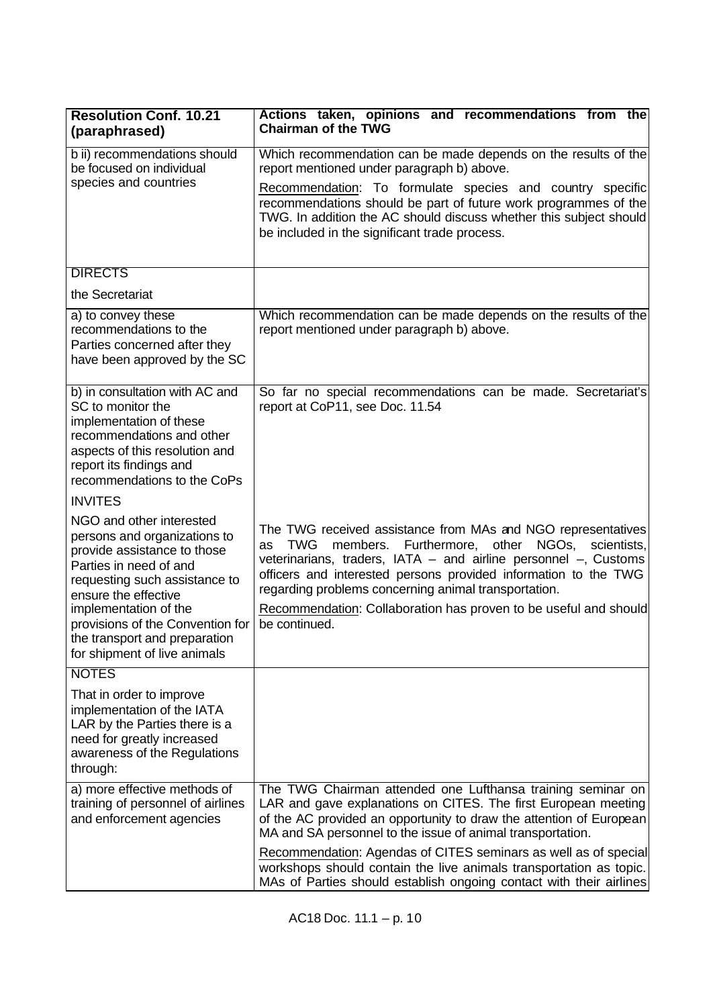| <b>Resolution Conf. 10.21</b><br>(paraphrased)                                                                                                                                                                                                                                                           | Actions taken, opinions and recommendations from the<br><b>Chairman of the TWG</b>                                                                                                                                                                                                                                                                                                                                                 |
|----------------------------------------------------------------------------------------------------------------------------------------------------------------------------------------------------------------------------------------------------------------------------------------------------------|------------------------------------------------------------------------------------------------------------------------------------------------------------------------------------------------------------------------------------------------------------------------------------------------------------------------------------------------------------------------------------------------------------------------------------|
| b ii) recommendations should<br>be focused on individual<br>species and countries                                                                                                                                                                                                                        | Which recommendation can be made depends on the results of the<br>report mentioned under paragraph b) above.<br>Recommendation: To formulate species and country specific<br>recommendations should be part of future work programmes of the<br>TWG. In addition the AC should discuss whether this subject should<br>be included in the significant trade process.                                                                |
| <b>DIRECTS</b>                                                                                                                                                                                                                                                                                           |                                                                                                                                                                                                                                                                                                                                                                                                                                    |
| the Secretariat                                                                                                                                                                                                                                                                                          |                                                                                                                                                                                                                                                                                                                                                                                                                                    |
| a) to convey these<br>recommendations to the<br>Parties concerned after they<br>have been approved by the SC                                                                                                                                                                                             | Which recommendation can be made depends on the results of the<br>report mentioned under paragraph b) above.                                                                                                                                                                                                                                                                                                                       |
| b) in consultation with AC and<br>SC to monitor the<br>implementation of these<br>recommendations and other<br>aspects of this resolution and<br>report its findings and<br>recommendations to the CoPs<br><b>INVITES</b>                                                                                | So far no special recommendations can be made. Secretariat's<br>report at CoP11, see Doc. 11.54                                                                                                                                                                                                                                                                                                                                    |
| NGO and other interested<br>persons and organizations to<br>provide assistance to those<br>Parties in need of and<br>requesting such assistance to<br>ensure the effective<br>implementation of the<br>provisions of the Convention for<br>the transport and preparation<br>for shipment of live animals | The TWG received assistance from MAs and NGO representatives<br>other NGOs,<br><b>TWG</b><br>members.<br>Furthermore,<br>scientists,<br>as<br>veterinarians, traders, IATA $-$ and airline personnel $-$ , Customs<br>officers and interested persons provided information to the TWG<br>regarding problems concerning animal transportation.<br>Recommendation: Collaboration has proven to be useful and should<br>be continued. |
| <b>NOTES</b>                                                                                                                                                                                                                                                                                             |                                                                                                                                                                                                                                                                                                                                                                                                                                    |
| That in order to improve<br>implementation of the IATA<br>LAR by the Parties there is a<br>need for greatly increased<br>awareness of the Regulations<br>through:                                                                                                                                        |                                                                                                                                                                                                                                                                                                                                                                                                                                    |
| a) more effective methods of<br>training of personnel of airlines<br>and enforcement agencies                                                                                                                                                                                                            | The TWG Chairman attended one Lufthansa training seminar on<br>LAR and gave explanations on CITES. The first European meeting<br>of the AC provided an opportunity to draw the attention of European<br>MA and SA personnel to the issue of animal transportation.<br>Recommendation: Agendas of CITES seminars as well as of special                                                                                              |
|                                                                                                                                                                                                                                                                                                          | workshops should contain the live animals transportation as topic.<br>MAs of Parties should establish ongoing contact with their airlines                                                                                                                                                                                                                                                                                          |